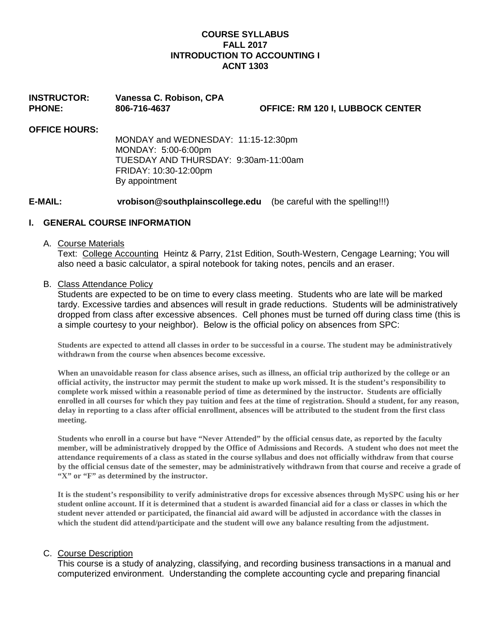### **COURSE SYLLABUS FALL 2017 INTRODUCTION TO ACCOUNTING I ACNT 1303**

**INSTRUCTOR: Vanessa C. Robison, CPA PHONE: 806-716-4637 OFFICE: RM 120 I, LUBBOCK CENTER**

### **OFFICE HOURS:**

MONDAY and WEDNESDAY: 11:15-12:30pm MONDAY: 5:00-6:00pm TUESDAY AND THURSDAY: 9:30am-11:00am FRIDAY: 10:30-12:00pm By appointment

**E-MAIL: vrobison@southplainscollege.edu** (be careful with the spelling!!!)

### **I. GENERAL COURSE INFORMATION**

### A. Course Materials

Text: College Accounting Heintz & Parry, 21st Edition, South-Western, Cengage Learning; You will also need a basic calculator, a spiral notebook for taking notes, pencils and an eraser.

### B. Class Attendance Policy

Students are expected to be on time to every class meeting. Students who are late will be marked tardy. Excessive tardies and absences will result in grade reductions. Students will be administratively dropped from class after excessive absences. Cell phones must be turned off during class time (this is a simple courtesy to your neighbor). Below is the official policy on absences from SPC:

**Students are expected to attend all classes in order to be successful in a course. The student may be administratively withdrawn from the course when absences become excessive.** 

**When an unavoidable reason for class absence arises, such as illness, an official trip authorized by the college or an official activity, the instructor may permit the student to make up work missed. It is the student's responsibility to complete work missed within a reasonable period of time as determined by the instructor. Students are officially enrolled in all courses for which they pay tuition and fees at the time of registration. Should a student, for any reason, delay in reporting to a class after official enrollment, absences will be attributed to the student from the first class meeting.**

**Students who enroll in a course but have "Never Attended" by the official census date, as reported by the faculty member, will be administratively dropped by the Office of Admissions and Records. A student who does not meet the attendance requirements of a class as stated in the course syllabus and does not officially withdraw from that course by the official census date of the semester, may be administratively withdrawn from that course and receive a grade of "X" or "F" as determined by the instructor.**

**It is the student's responsibility to verify administrative drops for excessive absences through MySPC using his or her student online account. If it is determined that a student is awarded financial aid for a class or classes in which the student never attended or participated, the financial aid award will be adjusted in accordance with the classes in which the student did attend/participate and the student will owe any balance resulting from the adjustment.** 

### C. Course Description

This course is a study of analyzing, classifying, and recording business transactions in a manual and computerized environment. Understanding the complete accounting cycle and preparing financial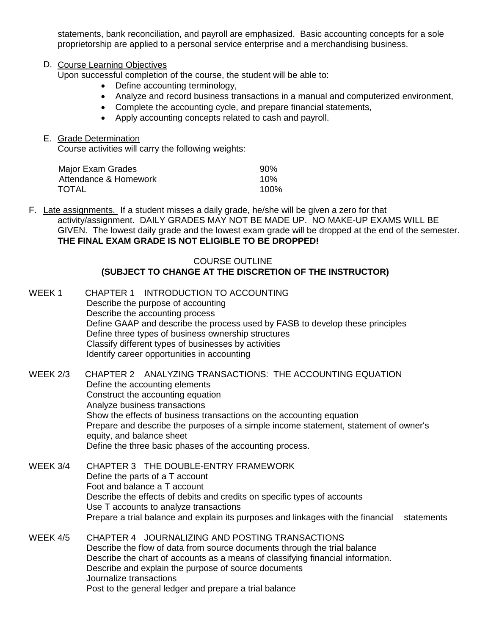statements, bank reconciliation, and payroll are emphasized. Basic accounting concepts for a sole proprietorship are applied to a personal service enterprise and a merchandising business.

### D. Course Learning Objectives

Upon successful completion of the course, the student will be able to:

- Define accounting terminology,
- Analyze and record business transactions in a manual and computerized environment,
- Complete the accounting cycle, and prepare financial statements,
- Apply accounting concepts related to cash and payroll.

### E. Grade Determination

Course activities will carry the following weights:

| Major Exam Grades     | $90\%$ |
|-----------------------|--------|
| Attendance & Homework | 10%    |
| TOTAL                 | 100%   |

F. Late assignments. If a student misses a daily grade, he/she will be given a zero for that activity/assignment. DAILY GRADES MAY NOT BE MADE UP. NO MAKE-UP EXAMS WILL BE GIVEN. The lowest daily grade and the lowest exam grade will be dropped at the end of the semester. **THE FINAL EXAM GRADE IS NOT ELIGIBLE TO BE DROPPED!**

### COURSE OUTLINE **(SUBJECT TO CHANGE AT THE DISCRETION OF THE INSTRUCTOR)**

## WEEK 1 CHAPTER 1 INTRODUCTION TO ACCOUNTING Describe the purpose of accounting Describe the accounting process Define GAAP and describe the process used by FASB to develop these principles Define three types of business ownership structures Classify different types of businesses by activities Identify career opportunities in accounting WEEK 2/3 CHAPTER 2 ANALYZING TRANSACTIONS: THE ACCOUNTING EQUATION Define the accounting elements Construct the accounting equation Analyze business transactions Show the effects of business transactions on the accounting equation Prepare and describe the purposes of a simple income statement, statement of owner's equity, and balance sheet Define the three basic phases of the accounting process.

WEEK 3/4 CHAPTER 3 THE DOUBLE-ENTRY FRAMEWORK Define the parts of a T account Foot and balance a T account Describe the effects of debits and credits on specific types of accounts Use T accounts to analyze transactions Prepare a trial balance and explain its purposes and linkages with the financial statements

WEEK 4/5 CHAPTER 4 JOURNALIZING AND POSTING TRANSACTIONS Describe the flow of data from source documents through the trial balance Describe the chart of accounts as a means of classifying financial information. Describe and explain the purpose of source documents Journalize transactions Post to the general ledger and prepare a trial balance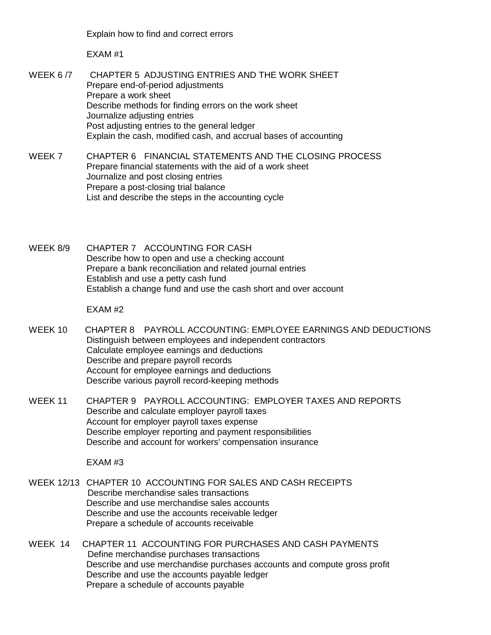Explain how to find and correct errors

EXAM #1

WEEK 6 /7 CHAPTER 5 ADJUSTING ENTRIES AND THE WORK SHEET Prepare end-of-period adjustments Prepare a work sheet Describe methods for finding errors on the work sheet Journalize adjusting entries Post adjusting entries to the general ledger Explain the cash, modified cash, and accrual bases of accounting

WEEK 7 CHAPTER 6 FINANCIAL STATEMENTS AND THE CLOSING PROCESS Prepare financial statements with the aid of a work sheet Journalize and post closing entries Prepare a post-closing trial balance List and describe the steps in the accounting cycle

WEEK 8/9 CHAPTER 7 ACCOUNTING FOR CASH Describe how to open and use a checking account Prepare a bank reconciliation and related journal entries Establish and use a petty cash fund Establish a change fund and use the cash short and over account

EXAM #2

- WEEK 10 CHAPTER 8 PAYROLL ACCOUNTING: EMPLOYEE EARNINGS AND DEDUCTIONS Distinguish between employees and independent contractors Calculate employee earnings and deductions Describe and prepare payroll records Account for employee earnings and deductions Describe various payroll record-keeping methods
- WEEK 11 CHAPTER 9 PAYROLL ACCOUNTING: EMPLOYER TAXES AND REPORTS Describe and calculate employer payroll taxes Account for employer payroll taxes expense Describe employer reporting and payment responsibilities Describe and account for workers' compensation insurance

EXAM #3

- WEEK 12/13 CHAPTER 10 ACCOUNTING FOR SALES AND CASH RECEIPTS Describe merchandise sales transactions Describe and use merchandise sales accounts Describe and use the accounts receivable ledger Prepare a schedule of accounts receivable
- WEEK 14 CHAPTER 11 ACCOUNTING FOR PURCHASES AND CASH PAYMENTS Define merchandise purchases transactions Describe and use merchandise purchases accounts and compute gross profit Describe and use the accounts payable ledger Prepare a schedule of accounts payable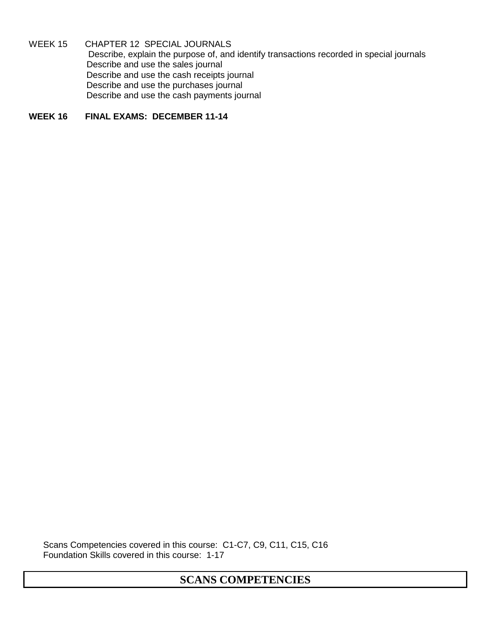WEEK 15 CHAPTER 12 SPECIAL JOURNALS Describe, explain the purpose of, and identify transactions recorded in special journals Describe and use the sales journal Describe and use the cash receipts journal Describe and use the purchases journal Describe and use the cash payments journal

**WEEK 16 FINAL EXAMS: DECEMBER 11-14**

Scans Competencies covered in this course: C1-C7, C9, C11, C15, C16 Foundation Skills covered in this course: 1-17

**SCANS COMPETENCIES**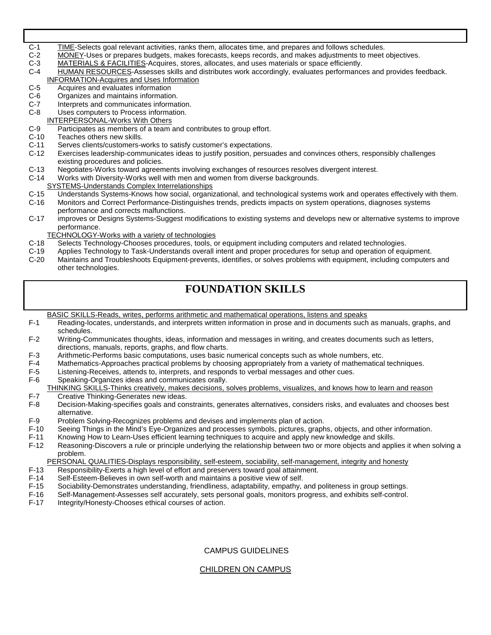- C-1 TIME-Selects goal relevant activities, ranks them, allocates time, and prepares and follows schedules.<br>C-2 MONEY-Uses or prepares budgets, makes forecasts, keeps records, and makes adjustments to meet
- MONEY-Uses or prepares budgets, makes forecasts, keeps records, and makes adjustments to meet objectives.
- C-3 MATERIALS & FACILITIES-Acquires, stores, allocates, and uses materials or space efficiently.<br>C-4 HUMAN RESOURCES-Assesses skills and distributes work accordingly, evaluates performance
- HUMAN RESOURCES-Assesses skills and distributes work accordingly, evaluates performances and provides feedback.

# **INFORMATION-Acquires and Uses Information**<br>C-5 Acquires and evaluates information

- C-5 Acquires and evaluates information<br>C-6 Organizes and maintains information
- Organizes and maintains information.
- C-7 Interprets and communicates information.<br>C-8 Uses computers to Process information. Uses computers to Process information.
- 
- **INTERPERSONAL-Works With Others**<br>C-9 Participates as members of a team C-9 Participates as members of a team and contributes to group effort.<br>C-10 Teaches others new skills.
- Teaches others new skills.
- C-11 Serves clients/customers-works to satisfy customer's expectations.<br>C-12 Exercises leadership-communicates ideas to justify position, persual
- Exercises leadership-communicates ideas to justify position, persuades and convinces others, responsibly challenges existing procedures and policies.
- C-13 Negotiates-Works toward agreements involving exchanges of resources resolves divergent interest.<br>C-14 Works with Diversity-Works well with men and women from diverse backgrounds.
- Works with Diversity-Works well with men and women from diverse backgrounds.

# SYSTEMS-Understands Complex Interrelationships<br>C-15 Understands Systems-Knows how social, organiz

- C-15 Understands Systems-Knows how social, organizational, and technological systems work and operates effectively with them.<br>C-16 Monitors and Correct Performance-Distinguishes trends, predicts impacts on system operation
- Monitors and Correct Performance-Distinguishes trends, predicts impacts on system operations, diagnoses systems performance and corrects malfunctions.
- C-17 improves or Designs Systems-Suggest modifications to existing systems and develops new or alternative systems to improve performance.

# TECHNOLOGY-Works with a variety of technologies<br>C-18 Selects Technology-Chooses procedures, tools, o

- Selects Technology-Chooses procedures, tools, or equipment including computers and related technologies.
- C-19 Applies Technology to Task-Understands overall intent and proper procedures for setup and operation of equipment.
- Maintains and Troubleshoots Equipment-prevents, identifies, or solves problems with equipment, including computers and other technologies.

# **FOUNDATION SKILLS**

- BASIC SKILLS-Reads, writes, performs arithmetic and mathematical operations, listens and speaks<br>F-1 Reading-locates, understands, and interprets written information in prose and in documents such Reading-locates, understands, and interprets written information in prose and in documents such as manuals, graphs, and schedules.
- F-2 Writing-Communicates thoughts, ideas, information and messages in writing, and creates documents such as letters, directions, manuals, reports, graphs, and flow charts.
- F-3 Arithmetic-Performs basic computations, uses basic numerical concepts such as whole numbers, etc.
- Mathematics-Approaches practical problems by choosing appropriately from a variety of mathematical techniques.
- F-5 Listening-Receives, attends to, interprets, and responds to verbal messages and other cues.<br>F-6 Speaking-Organizes ideas and communicates orally.
- Speaking-Organizes ideas and communicates orally.

THINKING SKILLS-Thinks creatively, makes decisions, solves problems, visualizes, and knows how to learn and reason<br>F-7 Creative Thinking-Generates new ideas.

- F-7 Creative Thinking-Generates new ideas.<br>F-8 Decision-Making-specifies goals and cor
- Decision-Making-specifies goals and constraints, generates alternatives, considers risks, and evaluates and chooses best alternative.
- F-9 Problem Solving-Recognizes problems and devises and implements plan of action.<br>F-10 Seeing Things in the Mind's Eye-Organizes and processes symbols, pictures, graph
- F-10 Seeing Things in the Mind's Eye-Organizes and processes symbols, pictures, graphs, objects, and other information.<br>F-11 Knowing How to Learn-Uses efficient learning techniques to acquire and apply new knowledge and sk
- 
- F-11 Knowing How to Learn-Uses efficient learning techniques to acquire and apply new knowledge and skills.<br>F-12 Reasoning-Discovers a rule or principle underlying the relationship between two or more objects and appl Reasoning-Discovers a rule or principle underlying the relationship between two or more objects and applies it when solving a problem.

PERSONAL QUALITIES-Displays responsibility, self-esteem, sociability, self-management, integrity and honesty<br>F-13 Responsibility-Exerts a high level of effort and preservers toward goal attainment.

- F-13 Responsibility-Exerts a high level of effort and preservers toward goal attainment.<br>F-14 Self-Esteem-Believes in own self-worth and maintains a positive view of self.
- F-14 Self-Esteem-Believes in own self-worth and maintains a positive view of self.<br>F-15 Sociability-Demonstrates understanding, friendliness, adaptability, empathy,
- F-15 Sociability-Demonstrates understanding, friendliness, adaptability, empathy, and politeness in group settings.<br>F-16 Self-Management-Assesses self accurately, sets personal goals, monitors progress, and exhibits self-c
- F-16 Self-Management-Assesses self accurately, sets personal goals, monitors progress, and exhibits self-control.<br>F-17 Integrity/Honesty-Chooses ethical courses of action.
- Integrity/Honesty-Chooses ethical courses of action.

### CAMPUS GUIDELINES

### CHILDREN ON CAMPUS